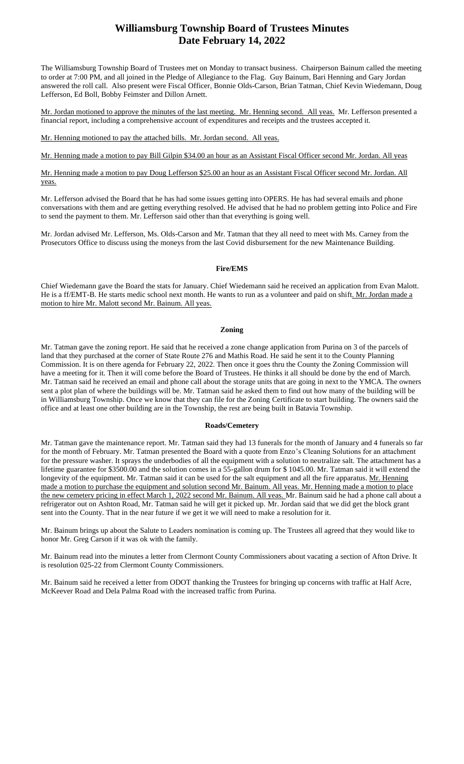# **Williamsburg Township Board of Trustees Minutes Date February 14, 2022**

The Williamsburg Township Board of Trustees met on Monday to transact business. Chairperson Bainum called the meeting to order at 7:00 PM, and all joined in the Pledge of Allegiance to the Flag. Guy Bainum, Bari Henning and Gary Jordan answered the roll call. Also present were Fiscal Officer, Bonnie Olds-Carson, Brian Tatman, Chief Kevin Wiedemann, Doug Lefferson, Ed Boll, Bobby Feimster and Dillon Arnett.

Mr. Jordan motioned to approve the minutes of the last meeting. Mr. Henning second. All yeas. Mr. Lefferson presented a financial report, including a comprehensive account of expenditures and receipts and the trustees accepted it.

Mr. Henning motioned to pay the attached bills. Mr. Jordan second. All yeas.

## Mr. Henning made a motion to pay Bill Gilpin \$34.00 an hour as an Assistant Fiscal Officer second Mr. Jordan. All yeas

Mr. Henning made a motion to pay Doug Lefferson \$25.00 an hour as an Assistant Fiscal Officer second Mr. Jordan. All yeas.

Mr. Lefferson advised the Board that he has had some issues getting into OPERS. He has had several emails and phone conversations with them and are getting everything resolved. He advised that he had no problem getting into Police and Fire to send the payment to them. Mr. Lefferson said other than that everything is going well.

Mr. Jordan advised Mr. Lefferson, Ms. Olds-Carson and Mr. Tatman that they all need to meet with Ms. Carney from the Prosecutors Office to discuss using the moneys from the last Covid disbursement for the new Maintenance Building.

### **Fire/EMS**

Chief Wiedemann gave the Board the stats for January. Chief Wiedemann said he received an application from Evan Malott. He is a ff/EMT-B. He starts medic school next month. He wants to run as a volunteer and paid on shift. Mr. Jordan made a motion to hire Mr. Malott second Mr. Bainum. All yeas.

#### **Zoning**

Mr. Tatman gave the zoning report. He said that he received a zone change application from Purina on 3 of the parcels of land that they purchased at the corner of State Route 276 and Mathis Road. He said he sent it to the County Planning Commission. It is on there agenda for February 22, 2022. Then once it goes thru the County the Zoning Commission will have a meeting for it. Then it will come before the Board of Trustees. He thinks it all should be done by the end of March. Mr. Tatman said he received an email and phone call about the storage units that are going in next to the YMCA. The owners sent a plot plan of where the buildings will be. Mr. Tatman said he asked them to find out how many of the building will be in Williamsburg Township. Once we know that they can file for the Zoning Certificate to start building. The owners said the office and at least one other building are in the Township, the rest are being built in Batavia Township.

#### **Roads/Cemetery**

Mr. Tatman gave the maintenance report. Mr. Tatman said they had 13 funerals for the month of January and 4 funerals so far for the month of February. Mr. Tatman presented the Board with a quote from Enzo's Cleaning Solutions for an attachment for the pressure washer. It sprays the underbodies of all the equipment with a solution to neutralize salt. The attachment has a lifetime guarantee for \$3500.00 and the solution comes in a 55-gallon drum for \$ 1045.00. Mr. Tatman said it will extend the longevity of the equipment. Mr. Tatman said it can be used for the salt equipment and all the fire apparatus. Mr. Henning made a motion to purchase the equipment and solution second Mr. Bainum. All yeas. Mr. Henning made a motion to place the new cemetery pricing in effect March 1, 2022 second Mr. Bainum. All yeas. Mr. Bainum said he had a phone call about a refrigerator out on Ashton Road, Mr. Tatman said he will get it picked up. Mr. Jordan said that we did get the block grant sent into the County. That in the near future if we get it we will need to make a resolution for it.

Mr. Bainum brings up about the Salute to Leaders nomination is coming up. The Trustees all agreed that they would like to honor Mr. Greg Carson if it was ok with the family.

Mr. Bainum read into the minutes a letter from Clermont County Commissioners about vacating a section of Afton Drive. It is resolution 025-22 from Clermont County Commissioners.

Mr. Bainum said he received a letter from ODOT thanking the Trustees for bringing up concerns with traffic at Half Acre, McKeever Road and Dela Palma Road with the increased traffic from Purina.